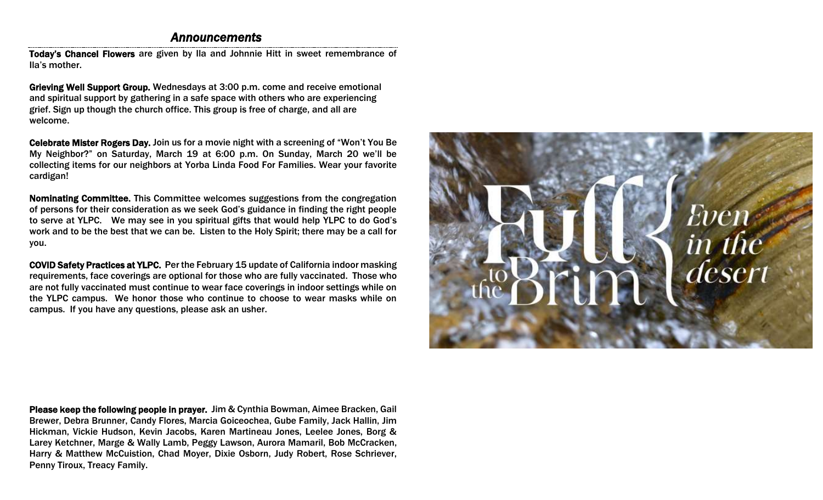# *Announcements*

Today's Chancel Flowers are given by Ila and Johnnie Hitt in sweet remembrance of Ila's mother.

Grieving Well Support Group. Wednesdays at 3:00 p.m. come and receive emotional and spiritual support by gathering in a safe space with others who are experiencing grief. Sign up though the church office. This group is free of charge, and all are welcome.

Celebrate Mister Rogers Day. Join us for a movie night with a screening of "Won't You Be My Neighbor?" on Saturday, March 19 at 6:00 p.m. On Sunday, March 20 we'll be collecting items for our neighbors at Yorba Linda Food For Families. Wear your favorite cardigan!

Nominating Committee. This Committee welcomes suggestions from the congregation of persons for their consideration as we seek God's guidance in finding the right people to serve at YLPC. We may see in you spiritual gifts that would help YLPC to do God's work and to be the best that we can be. Listen to the Holy Spirit; there may be a call for you.

COVID Safety Practices at YLPC. Per the February 15 update of California indoor masking requirements, face coverings are optional for those who are fully vaccinated. Those who are not fully vaccinated must continue to wear face coverings in indoor settings while on the YLPC campus. We honor those who continue to choose to wear masks while on campus. If you have any questions, please ask an usher.



Please keep the following people in prayer. Jim & Cynthia Bowman, Aimee Bracken, Gail Brewer, Debra Brunner, Candy Flores, Marcia Goiceochea, Gube Family, Jack Hallin, Jim Hickman, Vickie Hudson, Kevin Jacobs, Karen Martineau Jones, Leelee Jones, Borg & Larey Ketchner, Marge & Wally Lamb, Peggy Lawson, Aurora Mamaril, Bob McCracken, Harry & Matthew McCuistion, Chad Moyer, Dixie Osborn, Judy Robert, Rose Schriever, Penny Tiroux, Treacy Family.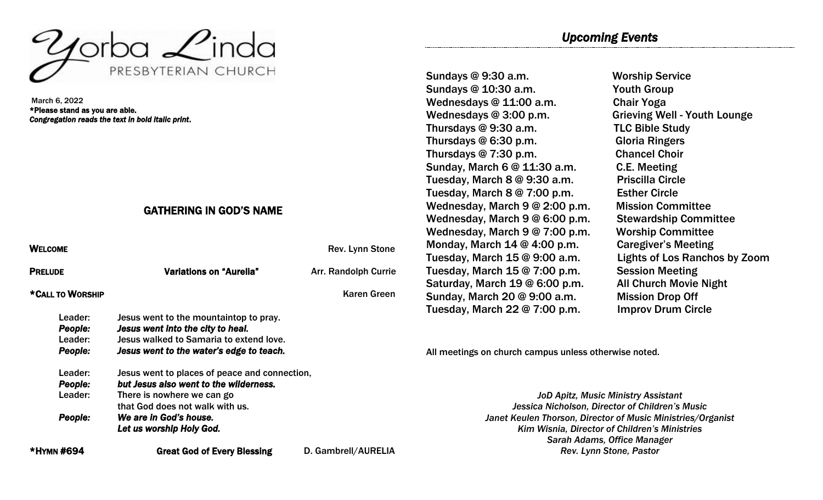

March 6, 2022 \*Please stand as you are able. *Congregation reads the text in bold italic print*.

# GATHERING IN GOD'S NAME

| <b>WELCOME</b>                                  |                                                                                                                                                                                                                | Rev. Lynn Stone             |
|-------------------------------------------------|----------------------------------------------------------------------------------------------------------------------------------------------------------------------------------------------------------------|-----------------------------|
| <b>PRELUDE</b>                                  | <b>Variations on "Aurelia"</b>                                                                                                                                                                                 | <b>Arr. Randolph Currie</b> |
| *CALL TO WORSHIP                                |                                                                                                                                                                                                                | <b>Karen Green</b>          |
| Leader:<br><b>People:</b><br>Leader:<br>People: | Jesus went to the mountaintop to pray.<br>Jesus went into the city to heal.<br>Jesus walked to Samaria to extend love.<br>Jesus went to the water's edge to teach.                                             |                             |
| Leader:<br>People:<br>Leader:<br>People:        | Jesus went to places of peace and connection,<br>but Jesus also went to the wilderness.<br>There is nowhere we can go<br>that God does not walk with us.<br>We are in God's house.<br>Let us worship Holy God. |                             |
| *HYMN #694                                      | <b>Great God of Every Blessing</b>                                                                                                                                                                             | D. Gambrell/AURELIA         |

*Upcoming Events* 

Sundays @ 9:30 a.m. Worship Service Sundays @ 10:30 a.m. Youth Group Wednesdays @ 11:00 a.m. Chair Yoga Wednesdays @ 3:00 p.m. Grieving Well - Youth Lounge Thursdays @ 9:30 a.m. TLC Bible Study Thursdays @ 6:30 p.m. Gloria Ringers Thursdays @ 7:30 p.m. Chancel Choir Sunday, March 6 @ 11:30 a.m. C.E. Meeting Tuesday, March 8 @ 9:30 a.m. Priscilla Circle Tuesday, March 8 @ 7:00 p.m. Esther Circle Wednesday, March 9 @ 2:00 p.m. Mission Committee Wednesday, March 9 @ 6:00 p.m. Stewardship Committee Wednesday, March 9 @ 7:00 p.m. Worship Committee Monday, March 14 @ 4:00 p.m. Caregiver's Meeting Tuesday, March 15 @ 9:00 a.m. Lights of Los Ranchos by Zoom Tuesday, March 15 @ 7:00 p.m. Session Meeting Saturday, March 19 @ 6:00 p.m. All Church Movie Night Sunday, March 20 @ 9:00 a.m. Mission Drop Off Tuesday, March 22 @ 7:00 p.m. Improv Drum Circle

All meetings on church campus unless otherwise noted.

*JoD Apitz, Music Ministry Assistant Jessica Nicholson, Director of Children's Music Janet Keulen Thorson, Director of Music Ministries/Organist Kim Wisnia, Director of Children's Ministries Sarah Adams, Office Manager Rev. Lynn Stone, Pastor*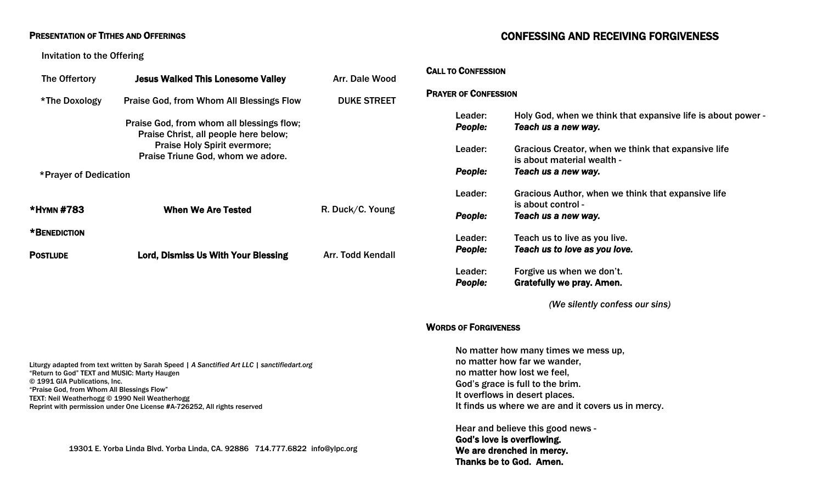#### PRESENTATION OF TITHES AND OFFERINGS

#### Invitation to the Offering

| The Offertory         | <b>Jesus Walked This Lonesome Valley</b>                                                                                                                       | Arr. Dale Wood     |
|-----------------------|----------------------------------------------------------------------------------------------------------------------------------------------------------------|--------------------|
| *The Doxology         | <b>Praise God, from Whom All Blessings Flow</b>                                                                                                                | <b>DUKE STREET</b> |
|                       | Praise God, from whom all blessings flow;<br>Praise Christ, all people here below;<br><b>Praise Holy Spirit evermore;</b><br>Praise Triune God, whom we adore. |                    |
| *Prayer of Dedication |                                                                                                                                                                |                    |
| *HYMN #783            | <b>When We Are Tested</b>                                                                                                                                      | R. Duck/C. Young   |
| *BENEDICTION          |                                                                                                                                                                |                    |
| <b>POSTLUDE</b>       | Lord, Dismiss Us With Your Blessing                                                                                                                            | Arr. Todd Kendall  |
|                       |                                                                                                                                                                |                    |

Liturgy adapted from text written by Sarah Speed *| A Sanctified Art LLC | sanctifiedart.org* "Return to God" TEXT and MUSIC: Marty Haugen © 1991 GIA Publications, Inc. "Praise God, from Whom All Blessings Flow" TEXT: Neil Weatherhogg © 1990 Neil Weatherhogg Reprint with permission under One License #A-726252, All rights reserved

19301 E. Yorba Linda Blvd. Yorba Linda, CA. 92886 714.777.6822 [info@ylpc.org](mailto:info@ylpc.org)

# CONFESSING AND RECEIVING FORGIVENESS

#### CALL TO CONFESSION

#### PRAYER OF CONFESSION

| Leader:<br><b>People:</b> | Holy God, when we think that expansive life is about power -<br>Teach us a new way. |
|---------------------------|-------------------------------------------------------------------------------------|
| Leader:                   | Gracious Creator, when we think that expansive life<br>is about material wealth -   |
| People:                   | Teach us a new way.                                                                 |
| Leader:                   | Gracious Author, when we think that expansive life<br>is about control -            |
| People:                   | Teach us a new way.                                                                 |
| Leader:<br><b>People:</b> | Teach us to live as you live.<br>Teach us to love as you love.                      |
| Leader:<br>People:        | Forgive us when we don't.<br>Gratefully we pray. Amen.                              |

*(We silently confess our sins)* 

#### WORDS OF FORGIVENESS

No matter how many times we mess up, no matter how far we wander, no matter how lost we feel, God's grace is full to the brim. It overflows in desert places. It finds us where we are and it covers us in mercy.

Hear and believe this good news - God's love is overflowing. We are drenched in mercy. Thanks be to God. Amen.